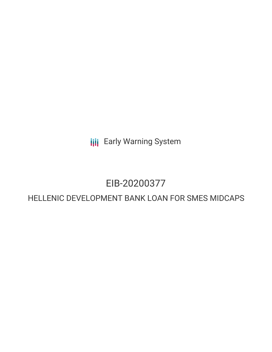**III** Early Warning System

# EIB-20200377

# HELLENIC DEVELOPMENT BANK LOAN FOR SMES MIDCAPS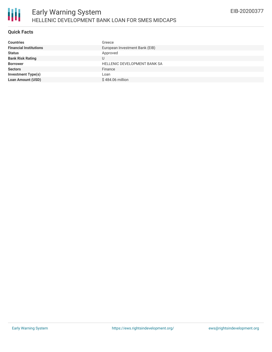

### **Quick Facts**

| <b>Countries</b>              | Greece                              |
|-------------------------------|-------------------------------------|
| <b>Financial Institutions</b> | European Investment Bank (EIB)      |
| <b>Status</b>                 | Approved                            |
| <b>Bank Risk Rating</b>       | J                                   |
| <b>Borrower</b>               | <b>HELLENIC DEVELOPMENT BANK SA</b> |
| <b>Sectors</b>                | Finance                             |
| <b>Investment Type(s)</b>     | Loan                                |
| <b>Loan Amount (USD)</b>      | \$484.06 million                    |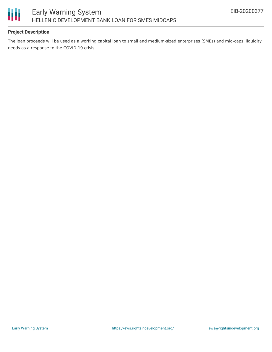

## **Project Description**

The loan proceeds will be used as a working capital loan to small and medium-sized enterprises (SMEs) and mid-caps' liquidity needs as a response to the COVID-19 crisis.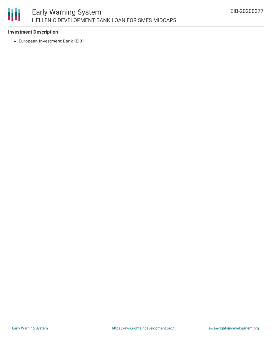

#### **Investment Description**

European Investment Bank (EIB)